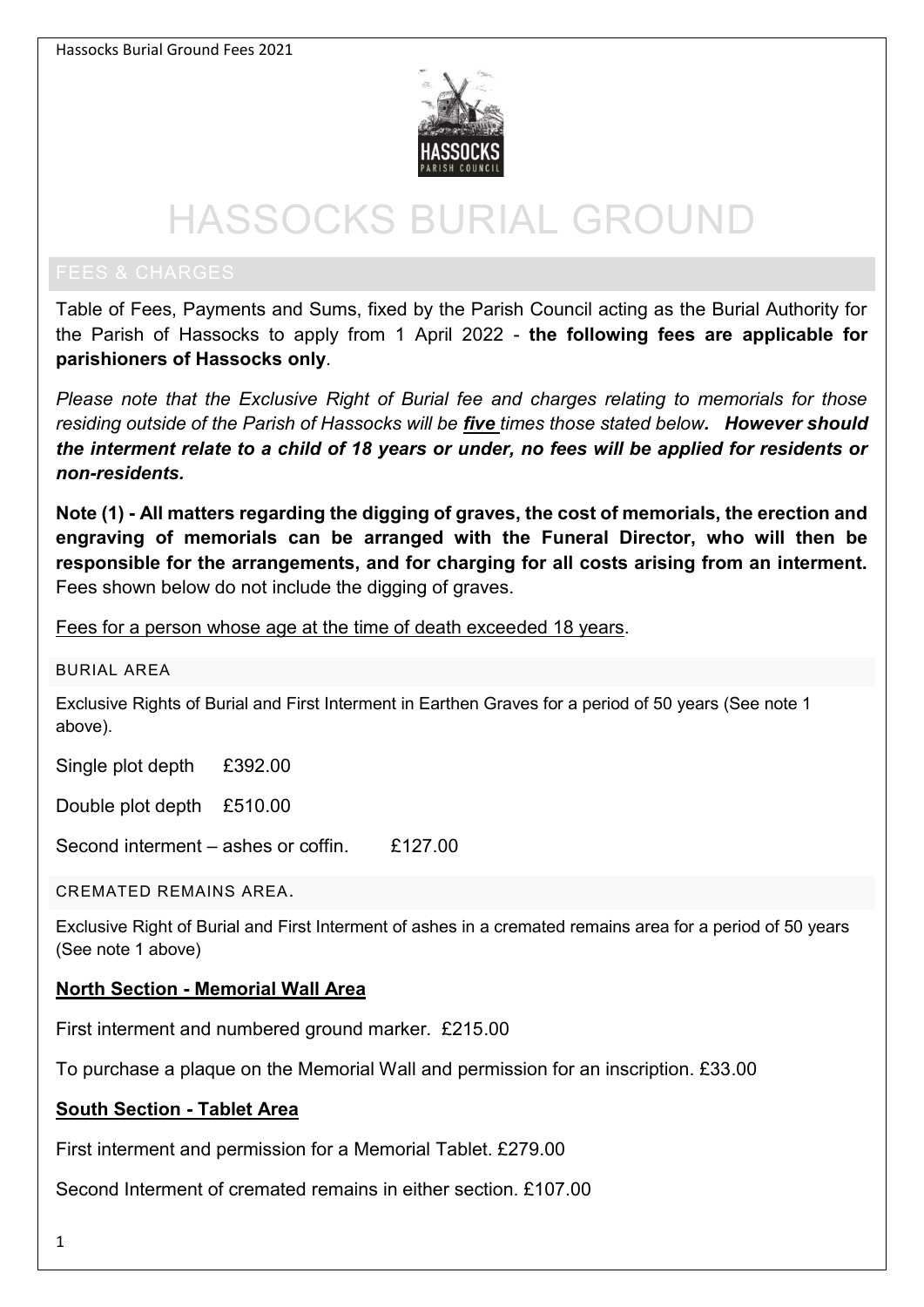

# HASSOCKS BURIAL GROUND

Table of Fees, Payments and Sums, fixed by the Parish Council acting as the Burial Authority for the Parish of Hassocks to apply from 1 April 2022 - **the following fees are applicable for parishioners of Hassocks only**.

*Please note that the Exclusive Right of Burial fee and charges relating to memorials for those residing outside of the Parish of Hassocks will be five times those stated below. However should the interment relate to a child of 18 years or under, no fees will be applied for residents or non-residents.* 

**Note (1) - All matters regarding the digging of graves, the cost of memorials, the erection and engraving of memorials can be arranged with the Funeral Director, who will then be responsible for the arrangements, and for charging for all costs arising from an interment.** Fees shown below do not include the digging of graves.

Fees for a person whose age at the time of death exceeded 18 years.

#### BURIAL AREA

Exclusive Rights of Burial and First Interment in Earthen Graves for a period of 50 years (See note 1 above).

Single plot depth £392.00

Double plot depth £510.00

Second interment – ashes or coffin. £127.00

CREMATED REMAINS AREA.

Exclusive Right of Burial and First Interment of ashes in a cremated remains area for a period of 50 years (See note 1 above)

### **North Section - Memorial Wall Area**

First interment and numbered ground marker. £215.00

To purchase a plaque on the Memorial Wall and permission for an inscription. £33.00

### **South Section - Tablet Area**

First interment and permission for a Memorial Tablet. £279.00

Second Interment of cremated remains in either section. £107.00